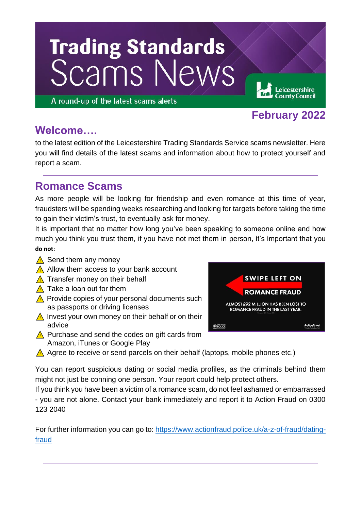# **Trading Standards** Scams News

A round-up of the latest scams alerts

#### **February 2022**

Leicestershire **County Council** 

### **Welcome….**

to the latest edition of the Leicestershire Trading Standards Service scams newsletter. Here you will find details of the latest scams and information about how to protect yourself and report a scam.

## **Romance Scams**

As more people will be looking for friendship and even romance at this time of year, fraudsters will be spending weeks researching and looking for targets before taking the time to gain their victim's trust, to eventually ask for money.

It is important that no matter how long you've been speaking to someone online and how much you think you trust them, if you have not met them in person, it's important that you **do not**:

- $\Lambda$  Send them any money
- $\Lambda$  Allow them access to your bank account
- $\Lambda$  Transfer money on their behalf
- $\Lambda$  Take a loan out for them
- $\Lambda$  Provide copies of your personal documents such as passports or driving licenses
- $\Lambda$  Invest your own money on their behalf or on their advice
- $\Lambda$  Purchase and send the codes on gift cards from Amazon, iTunes or Google Play



A Agree to receive or send parcels on their behalf (laptops, mobile phones etc.)

You can report suspicious dating or social media profiles, as the criminals behind them might not just be conning one person. Your report could help protect others.

If you think you have been a victim of a romance scam, do not feel ashamed or embarrassed - you are not alone. Contact your bank immediately and report it to Action Fraud on 0300 123 2040

For further information you can go to: [https://www.actionfraud.police.uk/a-z-of-fraud/dating](https://www.actionfraud.police.uk/a-z-of-fraud/dating-fraud)[fraud](https://www.actionfraud.police.uk/a-z-of-fraud/dating-fraud)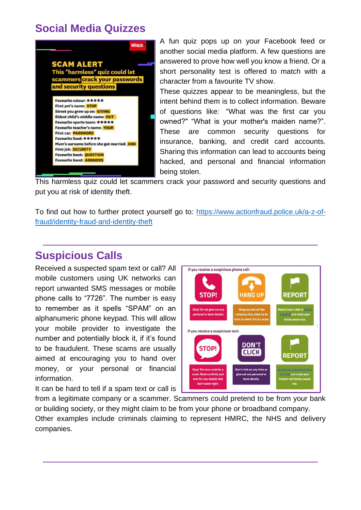### **Social Media Quizzes**



A fun quiz pops up on your Facebook feed or another social media platform. A few questions are answered to prove how well you know a friend. Or a short personality test is offered to match with a character from a favourite TV show.

These quizzes appear to be meaningless, but the intent behind them is to collect information. Beware of questions like: "What was the first car you owned?" "What is your mother's maiden name?". These are common security questions for insurance, banking, and credit card accounts. Sharing this information can lead to accounts being hacked, and personal and financial information being stolen.

This harmless quiz could let scammers crack your password and security questions and put you at risk of identity theft.

To find out how to further protect yourself go to: [https://www.actionfraud.police.uk/a-z-of](https://www.actionfraud.police.uk/a-z-of-fraud/identity-fraud-and-identity-theft)[fraud/identity-fraud-and-identity-theft](https://www.actionfraud.police.uk/a-z-of-fraud/identity-fraud-and-identity-theft)

### **Suspicious Calls**

Received a suspected spam text or call? All mobile customers using UK networks can report unwanted SMS messages or mobile phone calls to "7726". The number is easy to remember as it spells "SPAM" on an alphanumeric phone keypad. This will allow your mobile provider to investigate the number and potentially block it, if it's found to be fraudulent. These scams are usually aimed at encouraging you to hand over money, or your personal or financial information.

It can be hard to tell if a spam text or call is



or building society, or they might claim to be from your phone or broadband company. Other examples include criminals claiming to represent HMRC, the NHS and delivery companies.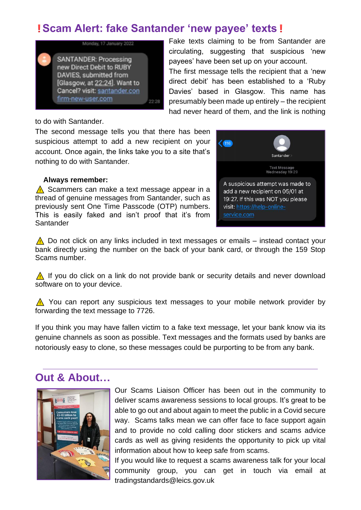#### **Scam Alert: fake Santander 'new payee' texts**



Fake texts claiming to be from Santander are circulating, suggesting that suspicious 'new payees' have been set up on your account. The first message tells the recipient that a 'new direct debit' has been established to a 'Ruby

Davies' based in Glasgow. This name has presumably been made up entirely – the recipient had never heard of them, and the link is nothing

#### to do with Santander.

The second message tells you that there has been suspicious attempt to add a new recipient on your account. Once again, the links take you to a site that's nothing to do with Santander.

#### **Always remember:**

 $\Lambda$  Scammers can make a text message appear in a thread of genuine messages from Santander, such as previously sent One Time Passcode (OTP) numbers. This is easily faked and isn't proof that it's from Santander



 $\Lambda$  Do not click on any links included in text messages or emails – instead contact your bank directly using the number on the back of your bank card, or through the 159 Stop Scams number.

 $\Lambda$  If you do click on a link do not provide bank or security details and never download software on to your device.

 $\Lambda$  You can report any suspicious text messages to your mobile network provider by forwarding the text message to 7726.

If you think you may have fallen victim to a fake text message, let your bank know via its genuine channels as soon as possible. Text messages and the formats used by banks are notoriously easy to clone, so these messages could be purporting to be from any bank.

#### **Out & About…**



Our Scams Liaison Officer has been out in the community to deliver scams awareness sessions to local groups. It's great to be able to go out and about again to meet the public in a Covid secure way. Scams talks mean we can offer face to face support again and to provide no cold calling door stickers and scams advice cards as well as giving residents the opportunity to pick up vital information about how to keep safe from scams.

If you would like to request a scams awareness talk for your local community group, you can get in touch via email at [tradingstandards@leics.gov.uk](mailto:tradingstandards@leics.gov.uk)